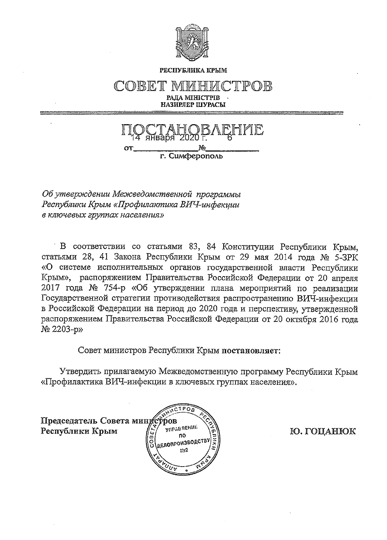

РЕСПУБЛИКА КРЫМ

COBET 'P()B РАЛА МІНІСТРІВ НАЗИРЛЕР ШУРАСЫ



Об утверждении Межеедомственной программы Республики Крым «Профилактика ВИЧ-инфекции в ключевых группах населения»

В соответствии со статьями 83, 84 Конституции Республики Крым, статьями 28, 41 Закона Республики Крым от 29 мая 2014 года № 5-ЗРК «О системе исполнительных органов государственной власти Республики Крым», распоряжением Правительства Российской Федерации от 20 апреля 2017 года № 754-р «Об утверждении плана мероприятий по реализации Государственной стратегии противодействия распространению ВИЧ-инфекции в Российской Федерации на период до 2020 года и перспективу, утвержденной распоряжением Правительства Российской Федерации от 20 октября 2016 года № 2203-р»

Совет министров Республики Крым постановляет:

Утвердить прилагаемую Межведомственную программу Республики Крым «Профилактика ВИЧ-инфекции в ключевых группах населения».



Ю. ГОЦАНЮК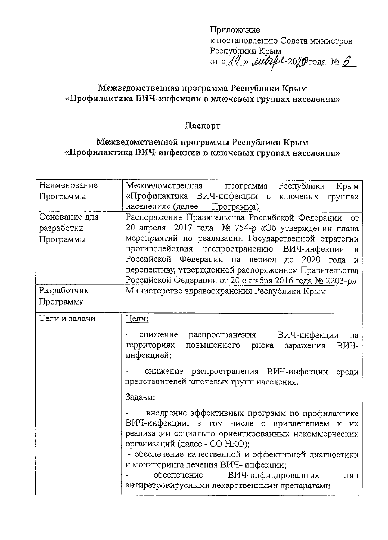Приложение к постановлению Совета министров Республики Крым<br>от «<u>14», eubaful</u> 2019 года № 6

# Межведомственная программа Республики Крым «Профилактика ВИЧ-инфекции в ключевых группах населения»

## Hacnopr

# Межведомственной программы Республики Крым «Профилактика ВИЧ-инфекции в ключевых группах населения»

| Наименование  | Межведомственная<br>Республики<br>программа                  |  |  |  |  |  |  |  |  |  |  |
|---------------|--------------------------------------------------------------|--|--|--|--|--|--|--|--|--|--|
|               | Крым                                                         |  |  |  |  |  |  |  |  |  |  |
| Программы     | «Профилактика ВИЧ-инфекции в<br>ключевых<br>группах          |  |  |  |  |  |  |  |  |  |  |
|               | населения» (далее - Программа)                               |  |  |  |  |  |  |  |  |  |  |
| Основание для | Распоряжение Правительства Российской Федерации<br><b>OT</b> |  |  |  |  |  |  |  |  |  |  |
| разработки    | 20 апреля 2017 года № 754-р «Об утверждении плана            |  |  |  |  |  |  |  |  |  |  |
| Программы     | мероприятий по реализации Государственной стратегии          |  |  |  |  |  |  |  |  |  |  |
|               | противодействия распространению ВИЧ-инфекции<br>B            |  |  |  |  |  |  |  |  |  |  |
|               | Российской Федерации на период до<br>2020 года<br>И          |  |  |  |  |  |  |  |  |  |  |
|               | перспективу, утвержденной распоряжением Правительства        |  |  |  |  |  |  |  |  |  |  |
|               | Российской Федерации от 20 октября 2016 года № 2203-р»       |  |  |  |  |  |  |  |  |  |  |
| Разработчик   | Министерство здравоохранения Республики Крым                 |  |  |  |  |  |  |  |  |  |  |
| Программы     |                                                              |  |  |  |  |  |  |  |  |  |  |
|               |                                                              |  |  |  |  |  |  |  |  |  |  |
| Цели и задачи | <u>Цели:</u>                                                 |  |  |  |  |  |  |  |  |  |  |
|               | снижение распространения ВИЧ-инфекции<br>на                  |  |  |  |  |  |  |  |  |  |  |
|               | территориях<br>заражения<br>ВИЧ-<br>повышенного риска        |  |  |  |  |  |  |  |  |  |  |
|               | инфекцией;                                                   |  |  |  |  |  |  |  |  |  |  |
|               | снижение распространения ВИЧ-инфекции<br>среди               |  |  |  |  |  |  |  |  |  |  |
|               | представителей ключевых групп населения.                     |  |  |  |  |  |  |  |  |  |  |
|               | <u>Задачи:</u>                                               |  |  |  |  |  |  |  |  |  |  |
|               | внедрение эффективных программ по профилактике               |  |  |  |  |  |  |  |  |  |  |
|               | ВИЧ-инфекции, в том числе с привлечением<br>${\bf K}$<br>их  |  |  |  |  |  |  |  |  |  |  |
|               | реализации социально ориентированных некоммерческих          |  |  |  |  |  |  |  |  |  |  |
|               | организаций (далее - СО НКО);                                |  |  |  |  |  |  |  |  |  |  |
|               | - обеспечение качественной и эффективной диагностики         |  |  |  |  |  |  |  |  |  |  |
|               |                                                              |  |  |  |  |  |  |  |  |  |  |
|               | и мониторинга лечения ВИЧ-инфекции;                          |  |  |  |  |  |  |  |  |  |  |
|               | ВИЧ-инфицированных<br>обеспечение<br>ЛИЦ                     |  |  |  |  |  |  |  |  |  |  |
|               | антиретровирусными лекарственными препаратами                |  |  |  |  |  |  |  |  |  |  |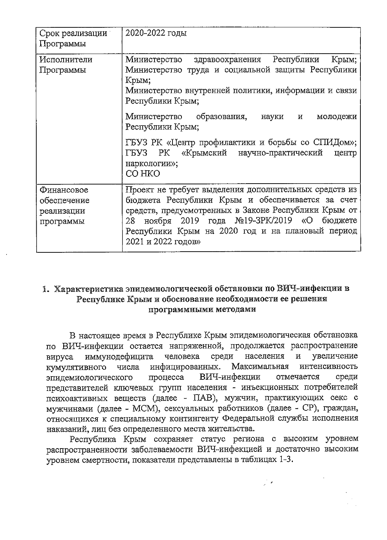| Срок реализации<br>Программы                         | 2020-2022 годы                                                                                                                                                                                                                                                                                                                                                                                              |
|------------------------------------------------------|-------------------------------------------------------------------------------------------------------------------------------------------------------------------------------------------------------------------------------------------------------------------------------------------------------------------------------------------------------------------------------------------------------------|
| Исполнители<br>Программы                             | Республики<br>Министерство здравоохранения<br>Крым;<br>Министерство труда и социальной защиты Республики<br>Крым;<br>Министерство внутренней политики, информации и связи<br>Республики Крым;<br>Министерство образования,<br>науки<br>и<br>молодежи<br>Республики Крым;<br>ГБУЗ РК «Центр профилактики и борьбы со СПИДом»;<br>«Крымский научно-практический<br>ГБУЗ РК<br>центр<br>наркологии»;<br>CO HKO |
| Финансовое<br>обеспечение<br>реализации<br>программы | Проект не требует выделения дополнительных средств из<br>бюджета Республики Крым и обеспечивается за счет<br>средств, предусмотренных в Законе Республики Крым от<br>ноября 2019 года №19-ЗРК/2019<br>«O<br>бюджете<br>28<br>Республики Крым на 2020 год и на плановый период<br>2021 и 2022 годов»                                                                                                         |

## 1. Характеристика эпидемиологической обстановки по ВИЧ-инфекции в Республике Крым и обоснование необходимости ее решения программными методами

В настоящее время в Республике Крым эпидемиологическая обстановка по ВИЧ-инфекции остается напряженной, продолжается распространение иммунодефицита человека среди населения  $\overline{\mathbf{M}}$ увеличение вируса инфицированных. КУМУЛЯТИВНОГО Максимальная интенсивность числа ВИЧ-инфекции процесса отмечается среди эпидемиологического представителей ключевых групп населения - инъекционных потребителей психоактивных веществ (далее - ПАВ), мужчин, практикующих секс с мужчинами (далее - МСМ), сексуальных работников (далее - СР), граждан, относящихся к специальному контингенту Федеральной службы исполнения наказаний, лиц без определенного места жительства.

Республика Крым сохраняет статус региона с высоким уровнем распространенности заболеваемости ВИЧ-инфекцией и достаточно высоким уровнем смертности, показатели представлены в таблицах 1-3.

ुं क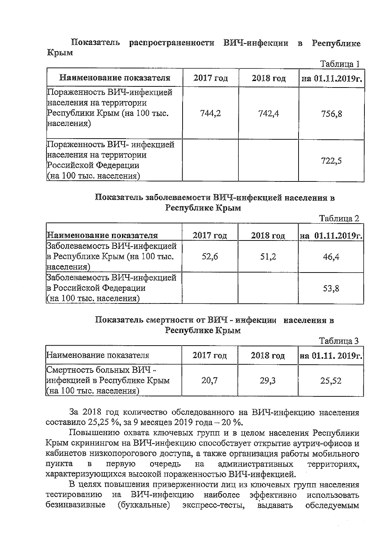#### Показатель распространенности ВИЧ-инфекции в Республике Крым

|                                                                                                           |            |            | таолица ј       |
|-----------------------------------------------------------------------------------------------------------|------------|------------|-----------------|
| Наименование показателя                                                                                   | $2017$ год | $2018$ год | на 01.11.2019г. |
| Пораженность ВИЧ-инфекцией<br>населения на территории<br>Республики Крым (на 100 тыс.<br>населения)       | 744.2      | 742.4      | 756,8           |
| Пораженность ВИЧ- инфекцией<br>населения на территории<br>Российской Федерации<br>(на 100 тыс. населения) |            |            | 722,5           |

## Показатель заболеваемости ВИЧ-инфекцией населения в Республике Крым

|                                |            |            | Таблица 2       |
|--------------------------------|------------|------------|-----------------|
| Наименование показателя        | $2017$ год | $2018$ год | на 01.11.2019г. |
| Заболеваемость ВИЧ-инфекцией   |            |            |                 |
| в Республике Крым (на 100 тыс. | 52,6       | 51,2       | 46,4            |
| населения)                     |            |            |                 |
| Заболеваемость ВИЧ-инфекцией   |            |            |                 |
| в Российской Федерации         |            |            | 53,8            |
| (на 100 тыс. населения)        |            |            |                 |

#### Показатель смертности от ВИЧ - инфекции населения в Республике Крым

Таблина 3

 $T_0$  $\sigma$  with  $1$ 

|                                                                                    |            |            | ----------       |
|------------------------------------------------------------------------------------|------------|------------|------------------|
| Наименование показателя                                                            | $2017$ год | $2018$ год | Ha 01.11. 2019r. |
| Смертность больных ВИЧ -<br>инфекцией в Республике Крым<br>(на 100 тыс. населения) | 20,7       | 29,3       | 25.52            |

За 2018 год количество обследованного на ВИЧ-инфекцию населения составило 25,25 %, за 9 месяцев 2019 года - 20 %.

Повышению охвата ключевых групп и в целом населения Республики Крым скринингом на ВИЧ-инфекцию способствует открытие аутрич-офисов и кабинетов низкопорогового доступа, а также организация работы мобильного пункта первую очередь административных  $\mathbf{B}$ на территориях, характеризующихся высокой пораженностью ВИЧ-инфекцией.

В целях повышения приверженности лиц из ключевых групп населения тестированию ВИЧ-инфекцию наиболее на эффективно использовать (буккальные) безинвазивные экспресс-тесты, выдавать обследуемым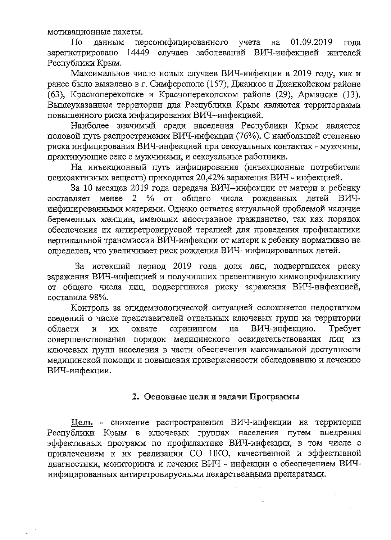мотивационные пакеты.

 $\Gamma$ Io данным персонифицированного учета на 01.09.2019 года зарегистрировано 14449 случаев заболеваний ВИЧ-инфекцией жителей Республики Крым.

Максимальное число новых случаев ВИЧ-инфекции в 2019 году, как и ранее было выявлено в г. Симферополе (157), Джанкое и Джанкойском районе (63), Красноперекопске и Красноперекопском районе (29), Армянске (13). Вышеуказанные территории для Республики Крым являются территориями повышенного риска инфицирования ВИЧ-инфекцией.

Наиболее значимый среди населения Республики Крым является половой путь распространения ВИЧ-инфекции (76%). С наибольшей степенью риска инфицирования ВИЧ-инфекцией при сексуальных контактах - мужчины, практикующие секс с мужчинами, и сексуальные работники.

На инъекционный путь инфицирования (инъекционные потребители психоактивных веществ) приходится 20,42% заражения ВИЧ - инфекцией.

За 10 месяцев 2019 года передача ВИЧ-инфекции от матери к ребенку составляет менее 2 % от общего числа рожденных детей ВИЧинфицированными матерями. Однако остается актуальной проблемой наличие беременных женщин, имеющих иностранное гражданство, так как порядок обеспечения их антиретровирусной терапией для проведения профилактики вертикальной трансмиссии ВИЧ-инфекции от матери к ребенку нормативно не определен, что увеличивает риск рождения ВИЧ- инфицированных детей.

За истекший период 2019 года доля лиц, подвергшихся риску заражения ВИЧ-инфекцией и получивших превентивную химиопрофилактику от общего числа лиц, подвергшихся риску заражения ВИЧ-инфекцией, составила 98%.

Контроль за эпидемиологической ситуацией осложняется недостатком сведений о числе представителей отдельных ключевых групп на территории скринингом  $<sub>Ha</sub>$ </sub> ВИЧ-инфекцию. Tpeбyer области и ИX охвате совершенствования порядок медицинского освидетельствования лиц из ключевых групп населения в части обеспечения максимальной доступности медицинской помощи и повышения приверженности обследованию и лечению ВИЧ-инфекции.

#### 2. Основные цели и задачи Программы

 $\gamma_n$ 

Цель - снижение распространения ВИЧ-инфекции на территории Республики Крым в ключевых группах населения путем внедрения эффективных программ по профилактике ВИЧ-инфекции, в том числе с привлечением к их реализации СО НКО, качественной и эффективной диагностики, мониторинга и лечения ВИЧ - инфекции с обеспечением ВИЧинфицированных антиретровирусными лекарственными препаратами.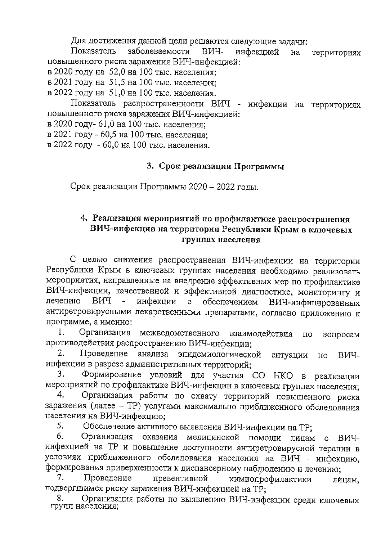Для достижения данной цели решаются следующие задачи:

Показатель заболеваемости ВИЧинфекцией на территориях повышенного риска заражения ВИЧ-инфекцией:

в 2020 году на 52,0 на 100 тыс. населения;

в 2021 году на 51,5 на 100 тыс. населения:

в 2022 году на 51,0 на 100 тыс. населения.

Показатель распространенности ВИЧ - инфекции на территориях повышенного риска заражения ВИЧ-инфекцией:

в 2020 году- 61,0 на 100 тыс. населения;

в 2021 году - 60,5 на 100 тыс. населения:

в 2022 году - 60,0 на 100 тыс. населения.

# 3. Срок реализации Программы

Срок реализации Программы 2020 - 2022 годы.

# 4. Реализация мероприятий по профилактике распространения ВИЧ-инфекции на территории Республики Крым в ключевых группах населения

С целью снижения распространения ВИЧ-инфекции на территории Республики Крым в ключевых группах населения необходимо реализовать мероприятия, направленные на внедрение эффективных мер по профилактике ВИЧ-инфекции, качественной и эффективной диагностике, мониторингу и лечению ВИЧ  $\frac{1}{2}$ инфекции  $\mathbf{c}$ обеспечением ВИЧ-инфицированных антиретровирусными лекарственными препаратами, согласно приложению к программе, а именно:

Организация межведомственного 1. взаимодействия  $\Pi$ O вопросам противодействия распространению ВИЧ-инфекции:

Проведение анализа эпидемиологической 2. ситуации  $\overline{110}$ ВИЧинфекции в разрезе административных территорий;

Формирование условий для участия СО НКО в реализации 3. мероприятий по профилактике ВИЧ-инфекции в ключевых группах населения;

Организация работы по охвату территорий повышенного риска 4. заражения (далее - TP) услугами максимально приближенного обследования населения на ВИЧ-инфекцию;

Обеспечение активного выявления ВИЧ-инфекции на ТР: 5.

6. Организация оказания медицинской помощи лицам  $\mathbf{c}$ ВИЧинфекцией на ТР и повышение доступности антиретровирусной терапии в условиях приближенного обследования населения на ВИЧ - инфекцию, формирования приверженности к диспансерному наблюдению и лечению;

7. Проведение превентивной химиопрофилактики лицам, подвергшимся риску заражения ВИЧ-инфекцией на ТР;

Организация работы по выявлению ВИЧ-инфекции среди ключевых 8. групп населения;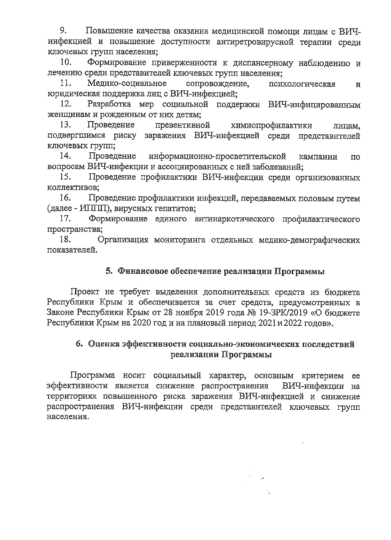9. Повышение качества оказания медицинской помощи лицам с ВИЧинфекцией и повышение доступности антиретровирусной терапии среди ключевых групп населения:

Формирование приверженности к диспансерному наблюдению и 10. лечению среди представителей ключевых групп населения:

11. Медико-социальное сопровождение. психологическая  $\overline{M}$ юридическая поддержка лиц с ВИЧ-инфекцией;

Разработка мер социальной поддержки ВИЧ-инфицированным  $12.$ женщинам и рожденным от них детям:

Проведение превентивной 13. химиопрофилактики лицам. подвергшимся риску заражения ВИЧ-инфекцией среди представителей ключевых групп:

14. Проведение информационно-просветительской кампании  $\overline{m}$ вопросам ВИЧ-инфекции и ассоциированных с ней заболеваний:

15. Проведение профилактики ВИЧ-инфекции среди организованных коллективов;

16. Проведение профилактики инфекций, передаваемых половым путем (далее - ИППП), вирусных гепатитов;

17. Формирование единого антинаркотического профилактического пространства;

18. Организация мониторинга отдельных медико-демографических показателей.

### 5. Финансовое обеспечение реализации Программы

Проект не требует выделения дополнительных средств из бюджета Республики Крым и обеспечивается за счет средств, предусмотренных в Законе Республики Крым от 28 ноября 2019 года № 19-ЗРК/2019 «О бюджете Республики Крым на 2020 год и на плановый период 2021 и 2022 годов».

## 6. Оценка эффективности социально-экономических последствий реализации Программы

Программа носит социальный характер, основным критерием ее эффективности является снижение распространения ВИЧ-инфекции на территориях повышенного риска заражения ВИЧ-инфекцией и снижение распространения ВИЧ-инфекции среди представителей ключевых групп населения.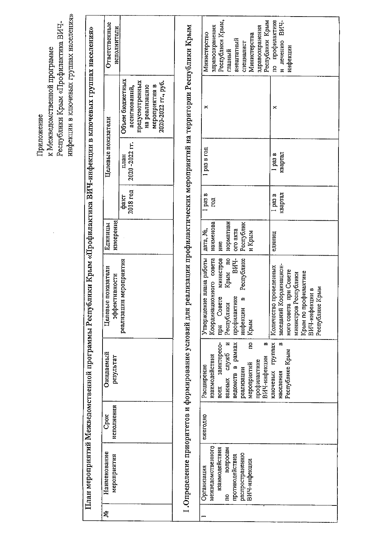инфекции в ключевых группах населения» Республики Крым по профилактике и лечению ВИЧ-<br>инфекции Республики Крым, Республики Крым «Профилактика ВИЧ-Ответственные здравоохранения здравоохранения 1. Определение приоритетов и формирование условий для реализации профилактических мероприятий на территории Республики Крым исполнители План мероприятий Межведомственной программы Республики Крым «Профилактика ВИЧ-инфекции в ключевых группах населения» Министерство Министерства внештатный специалист главный Объем бюджетных предусмотренных 2020-2022 rr., py6. на реализацию мероприятия в ассигнований,  $\boldsymbol{\times}$  $\times$ Целевые показатели 2020-2022 rr. 1 раз в год I pas B квартал план факт<br>2018 год  $\frac{1}{2}$  pas B rendesix<br>a ced 1 Единицы<br>измерения нормативн Республик наименова дата, №, ого акта и Крым единиц HMe **B**<sub>H</sub> Координационного совета министров Крым по Утверждение плана работы Республике реализации мероприятия Количество проведенных заседаний Координацион-Целевые показатели ного совета при Совете Крым по профилактике министров Республики эффективности при Совете инфекции в профилактике Республики Крым ключевых группах  $\overline{a}$ ведомств в рамках ванных служб и œ заинтересо- $\mathbf{r}$ Республике Крым Ожидаемый взаимодействия ВИЧ-инфекции результат профилактике мероприятий Расширение реализации населения **BCCX** исполнения Cpox ежегодно межведомственного взаимодействия вопросам Наименование распространению противодействия мероприятия ВИЧ-инфекции Организация  $\mathbf{e}$ ż

ВИЧ-инфекции в Республике Крым

к Межведомственной программе

Припожение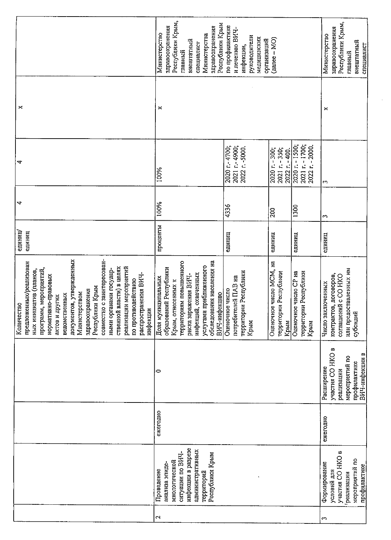|                                                                                                                                                                                                                                                                                                                                                                                                                     | Республики Крым,<br>Республики Крым<br>здравоохранения<br>здравоохранения<br>Министерство<br>Министерства<br>внештатный<br>специалист<br>главный                                                                     | Республики Крым,<br>здравоохранения<br>Министерство<br>внештатный<br>специалист<br>главный |                                                          |                                                        |                                                                                                          |
|---------------------------------------------------------------------------------------------------------------------------------------------------------------------------------------------------------------------------------------------------------------------------------------------------------------------------------------------------------------------------------------------------------------------|----------------------------------------------------------------------------------------------------------------------------------------------------------------------------------------------------------------------|--------------------------------------------------------------------------------------------|----------------------------------------------------------|--------------------------------------------------------|----------------------------------------------------------------------------------------------------------|
| ×                                                                                                                                                                                                                                                                                                                                                                                                                   | ×                                                                                                                                                                                                                    |                                                                                            |                                                          |                                                        | ×                                                                                                        |
| 4                                                                                                                                                                                                                                                                                                                                                                                                                   | 100%                                                                                                                                                                                                                 | 2020 r.-4700;<br>2021 r.-4900;<br>2022 r. -5000                                            | 2020 r. - 300;<br>2021 r. - 350;<br>2022 r. - 400.       | 2021 r. - 1700;<br>2020 r. - 1500;<br>2022 r. - 2000   | m                                                                                                        |
| 4                                                                                                                                                                                                                                                                                                                                                                                                                   | 100%                                                                                                                                                                                                                 | 4336                                                                                       | 200                                                      | $\frac{1300}{ }$                                       | m                                                                                                        |
| единиц<br>единиц                                                                                                                                                                                                                                                                                                                                                                                                    | проценты                                                                                                                                                                                                             | единиц                                                                                     | единиц                                                   | единиц                                                 | единиц                                                                                                   |
| совместно с заинтересован-<br>документов, утвержденных<br>предложенных/реализован<br>реализации мероприятий<br>ственной власти) в целях<br>программ, мероприятий,<br>ными органами государ-<br>ных инициатив (планов,<br>распространения ВИЧ-<br>нормативно-правовых<br>по противодействию<br>Республики Крым<br>здравоохранения<br>Министерством<br>ведомственных<br>актов и других<br>ខ្ល<br>инфекции<br>Количест | территориям повышенного<br>обследования населения на<br>услугами приближенного<br>образований Республики<br>инфекций, охваченных<br>риска заражения ВИЧ-<br>Доля муниципальных<br>Крым, отнесенных к<br>ВИЧ-инфекцию | территории Республики<br>потребителей ПАВ на<br>Оценочное число<br>Крым                    | Оценочное число МСМ, на<br>территории Республики<br>Крым | Оценочное число СР на<br>территории Республики<br>Крым | или предоставленных им<br>контрактов, договоров,<br>соглашений с CO HKO<br>Число заключенных<br>субсидий |
|                                                                                                                                                                                                                                                                                                                                                                                                                     | 0                                                                                                                                                                                                                    |                                                                                            |                                                          |                                                        | участия СО НКО в<br>ВИЧ-инфекции в<br>мероприятий по<br>профилактике<br>Расширение<br>реализации         |
|                                                                                                                                                                                                                                                                                                                                                                                                                     | ежегодно                                                                                                                                                                                                             |                                                                                            |                                                          |                                                        | ежегодно                                                                                                 |
|                                                                                                                                                                                                                                                                                                                                                                                                                     | инфекции в разрезе<br>административных<br>ситуации по ВИЧ-<br>Республики Крым<br>миологической<br>анализа эпиде-<br>Проведение<br>территорий                                                                         |                                                                                            |                                                          |                                                        | участия СО НКО в<br>мероприятий по<br>Формирование<br>профилактике<br>условий для<br>реализации          |
|                                                                                                                                                                                                                                                                                                                                                                                                                     | $\mathbf{\Omega}$                                                                                                                                                                                                    |                                                                                            |                                                          |                                                        | 3                                                                                                        |

 $\hat{A}$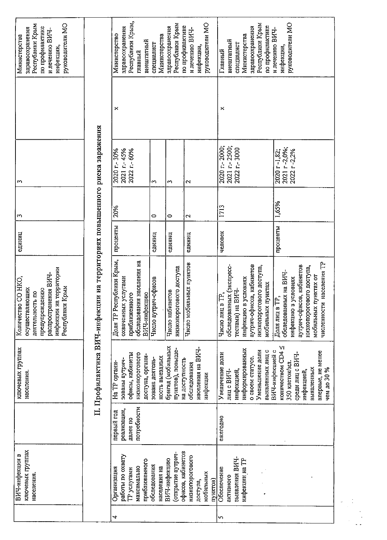| Республики Крым<br>руководители МО<br>по профилактике<br>здравоохранения<br>и лечению ВИЧ-<br>Министерства<br>инфекции,                                                                                                       | Республики Крым,<br>здравоохранения<br>Министерство<br>главный                                | Министерства<br>внештатный<br>специалист                     | Республики Крым<br>здравоохранения                     | руководители МО<br>по профилактике<br>и лечению ВИЧ-<br>инфекции, | Республики Крым<br>руководители МО<br>по профилактике<br>здравоохранения<br>и лечению ВИЧ-<br>Министерства<br>внештатный<br>специалист<br>инфекции,<br>Главный      |                                                                                                                                                                                |  |  |  |
|-------------------------------------------------------------------------------------------------------------------------------------------------------------------------------------------------------------------------------|-----------------------------------------------------------------------------------------------|--------------------------------------------------------------|--------------------------------------------------------|-------------------------------------------------------------------|---------------------------------------------------------------------------------------------------------------------------------------------------------------------|--------------------------------------------------------------------------------------------------------------------------------------------------------------------------------|--|--|--|
|                                                                                                                                                                                                                               | ×                                                                                             |                                                              |                                                        |                                                                   | ×                                                                                                                                                                   |                                                                                                                                                                                |  |  |  |
| w                                                                                                                                                                                                                             | 2020 r. - 30%<br>2021 r-45%<br>2022 r. - 60%                                                  | $\omega$                                                     | $\sim$                                                 | $\mathbf{\hat{c}}$                                                | 2020 r.-2000;<br>2021 r.-2500;<br>2022 r. - 3000                                                                                                                    | 2021 r-2,0%;<br>2022 r-2,2%<br>2020 r-1,82;                                                                                                                                    |  |  |  |
| ω                                                                                                                                                                                                                             | 20%                                                                                           | 0                                                            | 0                                                      | $\mathrel{\sim}$                                                  | 1713                                                                                                                                                                | 1,65%                                                                                                                                                                          |  |  |  |
| единиц                                                                                                                                                                                                                        | проценты                                                                                      | единиц                                                       | единиц                                                 | единиц                                                            | человек                                                                                                                                                             | проценты                                                                                                                                                                       |  |  |  |
| II. Профилактика ВИЧ-инфекции на территориях повышенного риска заражения<br>на территории<br>распространения ВИЧ-<br>Количество СО НКО,<br>Республики Крым<br>осуществляющих<br>предупреждению<br>деятельность по<br>инфекции | Доля ТР Республики Крым,<br>обследования населения на<br>охваченных услугами<br>приближенного | Число аутрич-офисов<br>ВИЧ-инфекцию                          | низкопорогового доступа<br>Число кабинетов             | Число мобильных пунктов                                           | обследованных (экспресс-<br>аутрич-офисов, кабинетов<br>низкопорогового доступа,<br>инфекцию в условиях<br>мобильных пунктах<br>тестами) на ВИЧ-<br>Число лиц в ТР. | и населения ТР<br>аутрич-офисов, кабинетов<br>низкопорогового доступа,<br>обследованных на ВИЧ-<br>мобильных пунктах от<br>инфекцию в условиях<br>Доля лиц в ТР.<br>численност |  |  |  |
| ключевых группах<br>населения.                                                                                                                                                                                                | офисы, кабинеты<br>низкопорогового<br>зованы аутрич-<br>На ТР органи-                         | доступа, органи-<br><b>НОСТЬ ВЫСЗДНЫХ</b><br>зована деятель- | бригад (мобильных<br>пунктов), повыше-                 | населения на ВИЧ-<br>на доступность<br>обследования<br>инфекции   | информированных<br>Уменьшение доли<br>выявленных лиц с<br>Увеличение доли<br>о своем статусе.<br>лиц с ВИЧ-<br>инфекцией,                                           | количеством СD4 ≤<br>ВИЧ-инфекцией с<br>впервые, не менее<br>среди лиц с ВИЧ-<br>350 клеток/мл<br>выявленных<br>чем до 30 %<br>инфекцией,                                      |  |  |  |
|                                                                                                                                                                                                                               | потребности<br>реализации,<br>первый год<br>далее по                                          |                                                              |                                                        |                                                                   | ежегодно                                                                                                                                                            |                                                                                                                                                                                |  |  |  |
| ключевых группах<br>ВИЧ-инфекции в<br>населения.                                                                                                                                                                              | работы по охвату<br>максимально<br>Организация<br>ТР услугами                                 | приближенного<br>обследования<br>населения на                | офисов, кабинетов<br>(открытие аутрич-<br>ВИЧ-инфекцию | низкопорогового<br>мобильных<br>пунктов)<br>доступа,              | выявления ВИЧ-<br>инфекции на ТР<br>Обеспечение<br>активного                                                                                                        |                                                                                                                                                                                |  |  |  |
|                                                                                                                                                                                                                               | 4                                                                                             |                                                              |                                                        |                                                                   | 5                                                                                                                                                                   |                                                                                                                                                                                |  |  |  |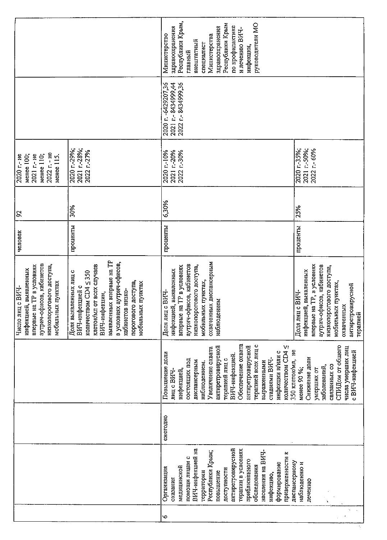|                                                                                                                                                   |                                                                                                                                                                                                                                                    | Республики Крым,<br>руководители МО<br>Республики Крым<br>по профилактике<br>здравоохранения<br>здравоохранения<br>и лечению ВИЧ-<br>Министерство<br>Министерства<br>внештатный<br>специалист<br>инфекции,<br>главный                                                                                                                                                                                                                                                             |
|---------------------------------------------------------------------------------------------------------------------------------------------------|----------------------------------------------------------------------------------------------------------------------------------------------------------------------------------------------------------------------------------------------------|-----------------------------------------------------------------------------------------------------------------------------------------------------------------------------------------------------------------------------------------------------------------------------------------------------------------------------------------------------------------------------------------------------------------------------------------------------------------------------------|
|                                                                                                                                                   |                                                                                                                                                                                                                                                    | 2021 r.- 8434999,44<br>2022 r.- 8434999,36<br>2020 r. -6429207,36                                                                                                                                                                                                                                                                                                                                                                                                                 |
| 2020 r.-29%;<br>2022 г. - не<br>менее 110;<br>2020 г.- не<br>2021 г- не<br>менее 100;<br>менее 115.                                               | 2021 r.-28%;<br>2022 r-27%                                                                                                                                                                                                                         | 2021 r.-50%;<br>2020 r.-35%;<br>2022 r-60%<br>2020 r-10%<br>2021 r.-20%<br>2022 r.-30%                                                                                                                                                                                                                                                                                                                                                                                            |
| 8                                                                                                                                                 | 30%                                                                                                                                                                                                                                                | 6,30%<br>25%                                                                                                                                                                                                                                                                                                                                                                                                                                                                      |
| человек                                                                                                                                           | проценты                                                                                                                                                                                                                                           | проценты<br>проценты                                                                                                                                                                                                                                                                                                                                                                                                                                                              |
| аутрич-офисов, кабинетов<br>впервые на ТР в условиях<br>низкопорогового доступа<br>инфекцией, выявленных<br>мобильных пунктах<br>Число лиц с ВИЧ- | выявленных впервые на TP<br>в условиях аутрич-офисов,<br>клеток/мл от всех случаев<br>Доля выявленных лиц с<br>количеством CD4 ≤ 350<br>порогового доступа,<br>мобильных пунктах<br>ВИЧ-инфекцией с<br><b>HM3KO-</b><br>ВИЧ-инфекции,<br>кабинетов | охваченных диспансерным<br>впервые на ТР, в условиях<br>аутрич-офисов, кабинетов<br>аутрич-офисов, кабинетов<br>впервые на ТР в условиях<br>низкопорогового доступа,<br>низкопорогового доступа,<br>инфекцией, выявленных<br>инфекцией, выявленных<br>мобильных пунктах,<br>мобильных пунктах,<br>антиретровирусной<br>$\overline{CH4}$<br>Доля лиц с ВИЧ-<br>наблюдением<br>охваченных<br>Доля лиц<br>терапией                                                                   |
|                                                                                                                                                   |                                                                                                                                                                                                                                                    | Обеспечение охвата<br>терапией всех лиц с<br>антиретровирусной<br>количеством СD4 ≤<br>СПИДом от общего<br>антиретровирусной<br>числа умерших лиц<br>Увеличение охвата<br>350 клеток/мл, не<br>с ВИЧ-инфекцией<br>инфекции и/или с<br>Повышение доли<br>ВИЧ-инфекцией.<br>стадиями ВИЧ-<br>Снижение доли<br>терапией лиц с<br>состоящих под<br>диспансерным<br>выраженными<br>наблюдением.<br>связанных со<br>заболеваний,<br>менее 90 %;<br>умерших от<br>инфекцией<br>лиц с ВИЧ |
|                                                                                                                                                   |                                                                                                                                                                                                                                                    | ежегодно                                                                                                                                                                                                                                                                                                                                                                                                                                                                          |
|                                                                                                                                                   |                                                                                                                                                                                                                                                    | антиретровирусной<br>ВИЧ-инфекцией на<br>терапии в условиях<br>населения на ВИЧ-<br>Республики Крым;<br>приверженности к<br>помощи лицам с<br>приближенного<br>диспансерному<br>формирование<br>наблюдению и<br>обследования<br>медицинской<br>Организация<br>доступности<br>территории<br>повышение<br>инфекцию,<br>оказания<br>печению                                                                                                                                          |
|                                                                                                                                                   |                                                                                                                                                                                                                                                    | ١o                                                                                                                                                                                                                                                                                                                                                                                                                                                                                |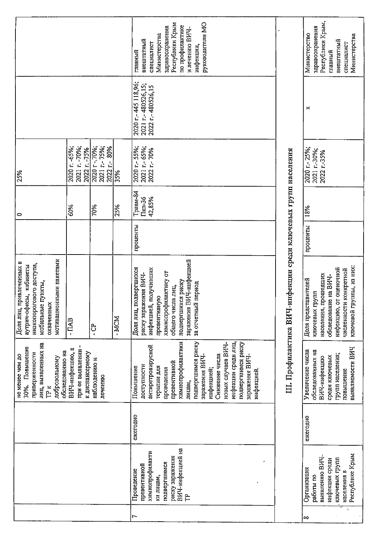|                                                                                                                                                 |                                                           |                                             |       | Республики Крым<br>руководители МО<br>по профилактике<br>здравоохранения<br>и лечению ВИЧ-<br>Министерства<br>внештатный<br>специалист<br>инфекции,<br>главный                                                                                                                                       |                                          | Республики Крым,<br>здравоохранения<br>Министерство<br>Министерства<br>внештатный<br>специалист<br>главный                                                               |
|-------------------------------------------------------------------------------------------------------------------------------------------------|-----------------------------------------------------------|---------------------------------------------|-------|------------------------------------------------------------------------------------------------------------------------------------------------------------------------------------------------------------------------------------------------------------------------------------------------------|------------------------------------------|--------------------------------------------------------------------------------------------------------------------------------------------------------------------------|
|                                                                                                                                                 |                                                           |                                             |       | 2020 r.- 445 118,96;<br>2021 r.-480526,15;<br>2022 r.-480526,15                                                                                                                                                                                                                                      |                                          | ×                                                                                                                                                                        |
| 25%                                                                                                                                             | 2020 r. -65%;<br>2021 r. -70%;<br>2022 r. -75%            | 2020 r-.70%;<br>2021 r.-75%;<br>2022 r. 80% | 35%   | 2021 r.- 65%;<br>2020 r. - 55%;<br>2022 г. 70%                                                                                                                                                                                                                                                       |                                          | 2020 r. - 25%;<br>2021 r.-30%;<br>2022 r-35%                                                                                                                             |
| 0                                                                                                                                               | 60%                                                       | 70%                                         | 25%   | TpaBM-84<br>42,85%<br>Пкп-36                                                                                                                                                                                                                                                                         |                                          | 18%                                                                                                                                                                      |
|                                                                                                                                                 |                                                           |                                             |       | проценты                                                                                                                                                                                                                                                                                             |                                          | проценты                                                                                                                                                                 |
| мотивационными пакетами<br>привлеченных в<br>низкопорогового доступа,<br>аутрич-офисы, кабинеты<br>мобильные пункты,<br>охваченных<br>Доля лиц, | - ITAB                                                    | ៊ិ                                          | - MCM | ВИЧ-инфекцией<br>подвергшихся<br>инфекцией, получивших<br>химиопрофилактику от<br>риску заражения ВИЧ-<br>подвергшихся риску<br>за отчетный период<br>общего числа лиц,<br>превентивную<br>заражения<br>Доля лиц,                                                                                    | -инфекции среди ключевых групп населения | ключевой группы, из них:<br>инфекцию, от оценочной<br>численности конкретной<br>населения, прошедших<br>обследование на ВИЧ-<br>Доля представителей<br>групп<br>ключевых |
| лиц, выявленных на<br>30%. Повышение<br>обследованию на<br>приверженности<br>He Mehee Hem DO<br>добровольному<br>TP K                           | 4<br>при ее выявлении<br>ВИЧ-инфекцию,<br>к диспансерному | наблюдению и<br>лечению                     |       | инфекции среди лиц,<br>подвергшимся риску<br>химиопрофилактики<br>новых случаев ВИЧ-<br>подвергшимся риску<br>антиретровирусной<br>заражения ВИЧ-<br>Снижение числа<br>заражения ВИЧ-<br>превентивной<br>доступности<br>Повышение<br>терапии для<br>проведения<br>инфекцией;<br>инфекцией.<br>лицам, | III. Профилактика ВИЧ                    | выявляемости ВИЧ<br>Увеличение числа<br>обследованных на<br>групп населения;<br>среди ключевых<br>ВИЧ-инфекцию<br>повышение                                              |
|                                                                                                                                                 |                                                           |                                             |       | ежегодно                                                                                                                                                                                                                                                                                             |                                          | ежегодно                                                                                                                                                                 |
|                                                                                                                                                 |                                                           |                                             |       | ВИЧ-инфекцией на<br>химиопрофилакти<br>риску заражения<br>подвергшимся<br>превентивной<br>Проведение<br>ки лицам,                                                                                                                                                                                    |                                          | Республике Крым<br>выявлению ВИЧ-<br>ключевых групп<br>инфекции среди<br>Организация<br>населения в<br>работы по                                                         |
|                                                                                                                                                 |                                                           |                                             |       | r                                                                                                                                                                                                                                                                                                    |                                          | k,<br>∞                                                                                                                                                                  |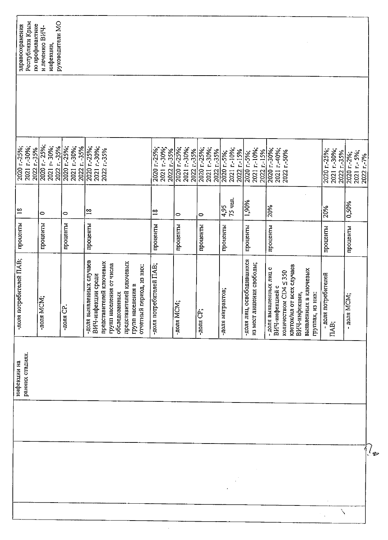| Республики Крым<br>по профилактике<br>здравоохранения | руководители МО<br>и лечению ВИЧ-<br>инфекции, |                                              |                                                                                                                        |                                                                          |                                             |                                             |                                            |                                            |                                                              |                                                                                                                                                                |                                             |                                          |
|-------------------------------------------------------|------------------------------------------------|----------------------------------------------|------------------------------------------------------------------------------------------------------------------------|--------------------------------------------------------------------------|---------------------------------------------|---------------------------------------------|--------------------------------------------|--------------------------------------------|--------------------------------------------------------------|----------------------------------------------------------------------------------------------------------------------------------------------------------------|---------------------------------------------|------------------------------------------|
| 2021 r-30%;<br>2020 r.-25%;<br>2022 r. 35%            | 2020 r. - 25%;<br>2021 r-30%;<br>2022 r. -35%  | 2021 r.-30%;<br>2022 r. -35%<br>2020 r.-25%; | 2020 r.-25%;<br>2021 r.-30%;<br>2022 r.-35%                                                                            |                                                                          | 2020 r.-25%;<br>2021 r.-30%;<br>2022 r.-35% | 2020 r.-25%;<br>2021 r.-30%,<br>2022 r.-35% | 2021 r.-30%;<br>2020 r.-25%;<br>2022 r-35% | 2021 r.-10%;<br>2022 r.-15%<br>2020 r.-5%; | 2021 r.-10%;<br>2022 r.-15%<br>2020 r.-5%;                   | 2020 r - 30%;<br>2021 r.-40%;<br>2022 r.-50%                                                                                                                   | 2020 r.-25%;<br>2021 r.-30%;<br>2022 r.-35% | 2021 r.- 5%;<br>2020 1-2%;<br>2022 r.-7% |
| $\frac{8}{18}$                                        | 0                                              | 0                                            | $\frac{8}{18}$                                                                                                         |                                                                          | $\approx$                                   | $\circ$                                     | 0                                          | 75 чел.<br>495                             | 1,90%                                                        | 20%                                                                                                                                                            | 20%                                         | 0,50%                                    |
| проценты                                              | проценты                                       | проценты                                     | проценты                                                                                                               |                                                                          | проценты                                    | проценты                                    | проценты                                   | проценты                                   | проценты                                                     | проценты                                                                                                                                                       | проценты                                    | проценты                                 |
| -доля потребителей ПАВ;                               | -доля МСМ;                                     | $-TQJIR$ $CP$ .                              | -доля выявленных случаев<br>представителей ключевых<br>групп населения от числа<br>ВИЧ-инфекции среди<br>обследованных | представителей ключевых<br>отчетный период, из них:<br>групп населения в | -доля потребителей ПАВ;                     | -доля МСМ;                                  | -доля CP;                                  | -доля мигрантов;                           | освободившихся<br>шения свободы;<br>из мест ли<br>-доля лиц, | клеток/мл от всех случаев<br>- доля выявленных лиц с<br>выявленных в ключевых<br>количеством СD4 ≤ 350<br>ВИЧ-инфекцией с<br>ВИЧ-инфекции,<br>группах, из них: | - доля потребителей<br>IIAB;                | i<br>Ö<br>$-$ доля $M$                   |
| ранних стадиях.<br>инфекции на                        |                                                |                                              |                                                                                                                        |                                                                          |                                             |                                             |                                            |                                            |                                                              |                                                                                                                                                                |                                             |                                          |
|                                                       |                                                |                                              |                                                                                                                        |                                                                          |                                             |                                             |                                            |                                            |                                                              |                                                                                                                                                                |                                             |                                          |
|                                                       |                                                |                                              |                                                                                                                        |                                                                          |                                             |                                             |                                            |                                            |                                                              |                                                                                                                                                                |                                             | $\ell_{\bm{\mathfrak{P}}}$               |
|                                                       |                                                |                                              |                                                                                                                        |                                                                          |                                             |                                             |                                            |                                            |                                                              |                                                                                                                                                                |                                             |                                          |

 $\bar{\beta}$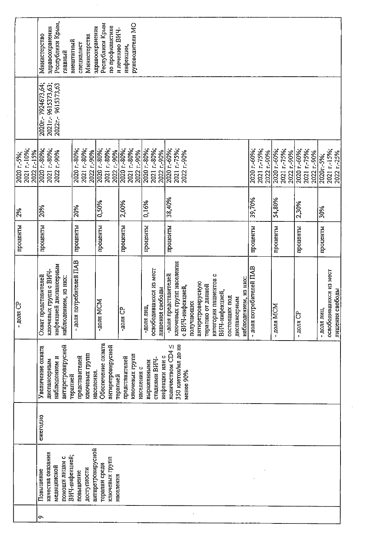|                                          | Республики Крым,<br>здравоохранения<br>Министерство<br>главный                                  | Министерства<br>внештатный<br>специалист      | Республики Крым<br>по профилактике<br>здравоохранения            | руководители МО<br>и лечению ВИЧ-<br>инфекции,  |                                                            |                      |                                                                                                                                                                                                          |                            |                                           |                                           |                                                         |
|------------------------------------------|-------------------------------------------------------------------------------------------------|-----------------------------------------------|------------------------------------------------------------------|-------------------------------------------------|------------------------------------------------------------|----------------------|----------------------------------------------------------------------------------------------------------------------------------------------------------------------------------------------------------|----------------------------|-------------------------------------------|-------------------------------------------|---------------------------------------------------------|
|                                          | 2020r.-7924673,64;<br>2021r.-9615373,63;<br>2022r-9615373,63                                    |                                               |                                                                  |                                                 |                                                            |                      |                                                                                                                                                                                                          |                            |                                           |                                           |                                                         |
| 2021 r-10%;<br>2022 r-15%<br>2020 r.-5%; | 2021 r-80%;<br>2020 r.-80%;<br>2022 r-90%                                                       | 2020 r.-80%;<br>2021 r.-80%;<br>2022 r-90%    | 2020 r.-80%;<br>2021 r-80%;<br>2022 r-90%                        | 2020 r.-80%;<br>2021 r.-80%;<br>2022 r-90%      | 2020 r.-80%;<br>2021 r-80%;<br>2022 r-90%                  | 2020 r.-60%;         | 2021 r.-75%;<br>2020 r-60%;<br>2022 r-90%                                                                                                                                                                | 2021 r-75%;<br>2022 r.-90% | 2020 r-60%;<br>2021 r. 75%;<br>2022 r-90% | 2020 r.-60%;<br>2021 r-75%;<br>2022 r-90% | 2021 r.-15%;<br>2022 r.-25%<br>2020r-5%;                |
| 2%                                       | 20%                                                                                             | 20%                                           | 0,50%                                                            | 2,00%                                           | 0,16%                                                      | 38,40%               | 39,70%                                                                                                                                                                                                   |                            | 54,80%                                    | 2,30%                                     | 30%                                                     |
| проценты                                 | проценты                                                                                        | проценты                                      | проценты                                                         | проценты                                        | проценты                                                   | проценты             |                                                                                                                                                                                                          | проценты                   | проценты                                  | проценты                                  | проценты                                                |
| ి<br>- доля                              | инфекцией диспансерным<br>ключевых групп с ВИЧ-<br>Охват представителей<br>наблюдением, из них: | - доля потребителей ПАВ                       | -доля MCM                                                        | بم<br>- доля Cl                                 | освободившихся из мест<br>свободы<br>-доля лиц,<br>лишения | -доля представителей | ключевых групп населения<br>категории пациентов с<br>наблюдением, из них:<br>антиретровирусную<br>терапию от данной<br>с ВИЧ-инфекцией,<br>ВИЧ-инфекцией,<br>состоящих под<br>диспансерным<br>получающих | - доля потребителей ПАВ    | $-$ доля МСМ                              | - доля $CP$                               | освободившихся из мест<br>лишения свободы<br>- доля лиц |
|                                          | антиретровирусной<br>Увеличение охвата<br>наблюдением и<br>диспансерным                         | ключевых групп<br>представителей<br>терапией  | Обеспечение охвата<br>антиретровирусной<br>населения<br>терапией | ключевых групп<br>представителей<br>населения с | инфекции или с<br>стадиями ВИЧ-<br>выраженными             | количеством СD4 ≤    | 350 клеток/мл до не<br>менее 90%                                                                                                                                                                         |                            |                                           |                                           |                                                         |
|                                          | ежегодно                                                                                        |                                               |                                                                  |                                                 |                                                            |                      |                                                                                                                                                                                                          |                            |                                           |                                           |                                                         |
|                                          | качества оказания<br>ВИЧ-инфекцией;<br>помоши лицам с<br>медицинской<br>Повышение               | антиретровирусной<br>доступности<br>повышение | ключевых групп<br>терапии среди<br>населения                     |                                                 |                                                            |                      |                                                                                                                                                                                                          |                            |                                           |                                           |                                                         |
|                                          | $\sim$                                                                                          |                                               |                                                                  |                                                 |                                                            |                      |                                                                                                                                                                                                          |                            |                                           |                                           |                                                         |

 $\sim 10^6$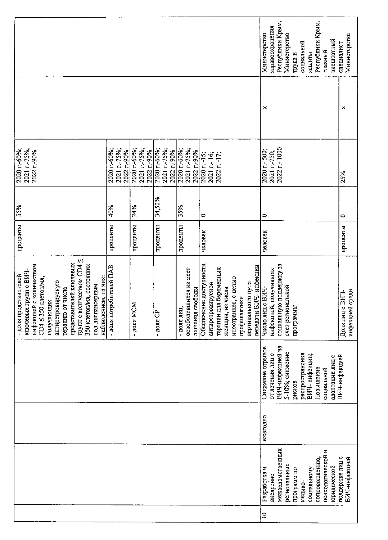|                                                                                                                                                                                                                                                                                               |                                            |                                            |                                            |                                                         |                                                                                                                                                                                    | Республики Крым,<br>Республики Крым,<br>здравоохранения<br>Министерство<br>Министерство<br>внештатный<br>социальной<br>главный<br>защиты<br>труда и          | Министерства<br>специалист         |  |  |
|-----------------------------------------------------------------------------------------------------------------------------------------------------------------------------------------------------------------------------------------------------------------------------------------------|--------------------------------------------|--------------------------------------------|--------------------------------------------|---------------------------------------------------------|------------------------------------------------------------------------------------------------------------------------------------------------------------------------------------|--------------------------------------------------------------------------------------------------------------------------------------------------------------|------------------------------------|--|--|
|                                                                                                                                                                                                                                                                                               |                                            |                                            |                                            |                                                         |                                                                                                                                                                                    | ×                                                                                                                                                            | ×                                  |  |  |
| 2020 r.-60%;<br>2021 r-75%;<br>2022 r.-90%                                                                                                                                                                                                                                                    | 2020 r.-60%;<br>2021 r.-75%;<br>2022 r-90% | 2020 r.-60%;<br>2021 r.-75%;<br>2022 r-90% | 2021 r.-75%;<br>2020 r.-60%,<br>2022 r-90% | 2021 r.-75%;<br>2020 r.-60%;<br>2022 r-90%              | 2020 r. -15;<br>2021 r.- 16;<br>2022 r. - 17;                                                                                                                                      | 2022 r.-1000<br>2020 r.- 500;<br>2021 r.-750;                                                                                                                | 25%                                |  |  |
| 55%                                                                                                                                                                                                                                                                                           | 40%                                        | 24%                                        | 34,50%                                     | 35%                                                     | $\circ$                                                                                                                                                                            | $\circ$                                                                                                                                                      | 0                                  |  |  |
| проценты                                                                                                                                                                                                                                                                                      | проценты                                   | проценты                                   | проценты                                   | проценты                                                | человек                                                                                                                                                                            | человек                                                                                                                                                      | проценты                           |  |  |
| трупп с количеством СD4 ≤<br>представителей ключевых<br>инфекцией с количеством<br>350 клеток/мл, состоящих<br>ключевых групп с ВИЧ-<br>- доля представителей<br>$CD4 \leq 350$ клеток/мл,<br>наблюдением, из них:<br>антиретровирусную<br>под диспансерным<br>терапию от числа<br>получающих | - доля потребителей ПАВ                    | - доля МСМ                                 | $-$ доля $CP$                              | освободившихся из мест<br>лишения свободы<br>- доля лиц | Обеспечение доступности<br>передачи ВИЧ- инфекции<br>терапии для беременных<br>иностранцев, с целью<br>вертикального пути<br>антиретровирусной<br>женщин, из числа<br>профилактики | социальную поддержку за<br>инфекцией, получивших<br>счет региональной<br>Число лиц с ВИЧ-<br>ā<br>программ                                                   | инфекцией среди<br>Доля лиц с ВИЧ- |  |  |
|                                                                                                                                                                                                                                                                                               |                                            |                                            |                                            |                                                         |                                                                                                                                                                                    |                                                                                                                                                              |                                    |  |  |
|                                                                                                                                                                                                                                                                                               |                                            |                                            |                                            |                                                         |                                                                                                                                                                                    | ежегодно                                                                                                                                                     |                                    |  |  |
|                                                                                                                                                                                                                                                                                               |                                            |                                            |                                            |                                                         |                                                                                                                                                                                    | межведомственных<br>психологической и<br>сопровождению,<br>региональных<br>юридической<br>социальному<br>Разработка и<br>программ по<br>внедрение<br>медико- | поддержке лиц с<br>ВИЧ-инфекцией   |  |  |
|                                                                                                                                                                                                                                                                                               |                                            |                                            |                                            |                                                         |                                                                                                                                                                                    | $\Xi$                                                                                                                                                        |                                    |  |  |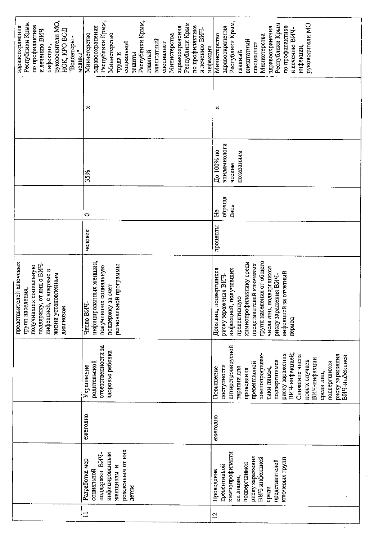| руководители MO,<br>Республики Крым<br>по профилактике<br>здравоохранения<br>и лечению ВИЧ-<br>нок, кро вод<br>"Волонтеры -<br>инфекции,<br>медики"            | Республики Крым,<br>Республики Крым,<br>Республики Крым<br>здравоохранения<br>по профилактике<br>здравоохранения<br>и лечению ВИЧ-<br>Министерство<br>Министерство<br>Министерства<br>внештатный<br>социальной<br>специалист<br>инфекции<br>главный<br>труда и<br>защиты | Республики Крым,<br>Республики Крым<br>руководители МО<br>по профилактике<br>здравоохранения<br>здравоохранения<br>и лечению ВИЧ-<br>Министерство<br>Министерства<br>внештатный<br>специалист<br>инфекции,<br>главный                                                                                 |
|----------------------------------------------------------------------------------------------------------------------------------------------------------------|--------------------------------------------------------------------------------------------------------------------------------------------------------------------------------------------------------------------------------------------------------------------------|-------------------------------------------------------------------------------------------------------------------------------------------------------------------------------------------------------------------------------------------------------------------------------------------------------|
|                                                                                                                                                                | ×                                                                                                                                                                                                                                                                        | ×                                                                                                                                                                                                                                                                                                     |
|                                                                                                                                                                | 35%                                                                                                                                                                                                                                                                      | эпидемиологи<br>До 100% по<br>показаниям<br>ческим.                                                                                                                                                                                                                                                   |
|                                                                                                                                                                | 0                                                                                                                                                                                                                                                                        | обраща<br>лись<br>ЭH                                                                                                                                                                                                                                                                                  |
|                                                                                                                                                                | человек                                                                                                                                                                                                                                                                  | проценты                                                                                                                                                                                                                                                                                              |
| представителей ключевых<br>поддержку, от лиц с ВИЧ-<br>получивших социальную<br>инфекцией, с впервые в<br>жизни установленным<br>групп населения,<br>диагнозом | инфицированных женщин,<br>региональной программы<br>получивших социальную<br>поддержку за счет<br>Число ВИЧ-                                                                                                                                                             | групп населения от общего<br>химиопрофилактику среди<br>представителей ключевых<br>числа лиц, подвергшихся<br>подвергшихся<br>инфекцией, получивших<br>инфекцией за отчетный<br>риску заражения ВИЧ-<br>риску заражения ВИЧ-<br>превентивную<br>Доля лиц,<br>период                                   |
|                                                                                                                                                                | ответственности за<br>здоровье ребенка<br>родительской<br>Укрепление                                                                                                                                                                                                     | антиретровирусной<br>ВИЧ-инфекцией;<br>риску заражения<br>химиопрофилак-<br>Снижение числа<br>риску заражения<br>ВИЧ-инфекцией<br>ВИЧ-инфекции<br>подвергшимся<br>новых случаев<br>подвергшихся<br>превентивной<br>доступности<br>Повышение<br>тики лицам,<br>терапии для<br>проведения<br>среди лиц, |
|                                                                                                                                                                | ежегодно                                                                                                                                                                                                                                                                 | ежегодно                                                                                                                                                                                                                                                                                              |
|                                                                                                                                                                | рожденным от них<br>инфицированным<br>поддержки ВИЧ-<br>Разработка мер<br>женщинам и<br>социальной<br>детям                                                                                                                                                              | химиопрофилакти<br>риску заражения<br>ВИЧ-инфекцией<br>ключевых групп<br>представителей<br>подвергшимся<br>превентивной<br>Проведение<br>ки лицам,<br>среди                                                                                                                                           |
|                                                                                                                                                                | $\Xi$                                                                                                                                                                                                                                                                    | $\overline{c}$                                                                                                                                                                                                                                                                                        |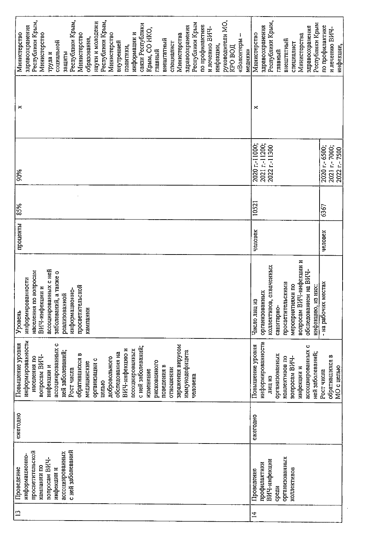| Республики Крым,<br>Республики Крым,<br>Республики Крым,<br>науки и молодежи<br>руководители МО,<br>Республики Крым<br>связи Республики<br>по профилактике<br>здравоохранения<br>здравоохранения<br>и лечению ВИЧ-<br>Крым, СО НКО,<br>Министерство<br>информации и<br>Министерство<br>Министерства<br>Министерство<br>Министерство<br>образования,                                                               | Республики Крым,<br>Республики Крым<br>здравоохранения<br>здравоохранения<br>Министерство<br>Министерства                                                                                | по профилактике<br>и лечению ВИЧ-              |
|-------------------------------------------------------------------------------------------------------------------------------------------------------------------------------------------------------------------------------------------------------------------------------------------------------------------------------------------------------------------------------------------------------------------|------------------------------------------------------------------------------------------------------------------------------------------------------------------------------------------|------------------------------------------------|
| внештатный<br>«Волонтеры<br>социальной<br>внутренней<br>специалист<br>инфекции,<br>политики,<br><b>KPO BOJI</b><br>главный<br>медики»<br>пруда и<br>защиты                                                                                                                                                                                                                                                        | внештатный<br>специалист<br>главный                                                                                                                                                      | инфекции,                                      |
| ×                                                                                                                                                                                                                                                                                                                                                                                                                 | $\approx$                                                                                                                                                                                |                                                |
| 90%                                                                                                                                                                                                                                                                                                                                                                                                               | 2020 r-11000;<br>2021 r-11200;<br>2022 r-11300                                                                                                                                           | 2020 r.- 6500;<br>2021 r.-7000;<br>2022 r-7500 |
| 85%                                                                                                                                                                                                                                                                                                                                                                                                               | 10521                                                                                                                                                                                    | 6367                                           |
| проценты                                                                                                                                                                                                                                                                                                                                                                                                          | человек                                                                                                                                                                                  | человек                                        |
| ассоциированных с ней<br>населения по вопросам<br>заболеваний, а также о<br>информированности<br>просветительской<br>ВИЧ-инфекции и<br>информационно-<br>реапизованной<br>кампании<br>Уровень                                                                                                                                                                                                                     | вопросам ВИЧ-инфекции и<br>коллективов, охваченных<br>обследованием на ВИЧ-<br>просветительскими<br>мероприятиями по<br>инфекцию, из них:<br>организованных<br>Число лиц из<br>санитарно | - на рабочих местах                            |
| информированности<br>ассоциированных с<br>Повышение уровня<br>заражения вирусом<br>с ней заболеваний;<br>ВИЧ-инфекцию и<br>ассоциированных<br>ней заболеваний;<br>иммунодефицита<br>обследования на<br>обратившихся в<br>вопросам ВИЧ-<br>населения по<br>добровольного<br>организации с<br>рискованного<br>медицинские<br>поведения в<br>инфекции и<br>отношении<br>Рост числа<br>изменение<br>человека<br>целью | информированности<br>Повышение уровня<br>ассоциированных с<br>ней заболеваний;<br>организованных<br>коллективов по<br>вопросам ВИЧ-<br>инфекции и<br>лиц из                              | обратившихся в<br>МО с целью<br>Рост числа     |
| ежегодно                                                                                                                                                                                                                                                                                                                                                                                                          | ежегодно                                                                                                                                                                                 |                                                |
| с ней заболеваний<br>просветительской<br>ассоциированных<br>информационно-<br>вопросам ВИЧ-<br>кампании по<br>Проведение<br>инфекции и                                                                                                                                                                                                                                                                            | организованных<br>ВИЧ-инфекции<br>профилактики<br>коллективов<br>Проведение<br>среди                                                                                                     |                                                |
| $\mathbf{C}$                                                                                                                                                                                                                                                                                                                                                                                                      | $\vec{A}$                                                                                                                                                                                |                                                |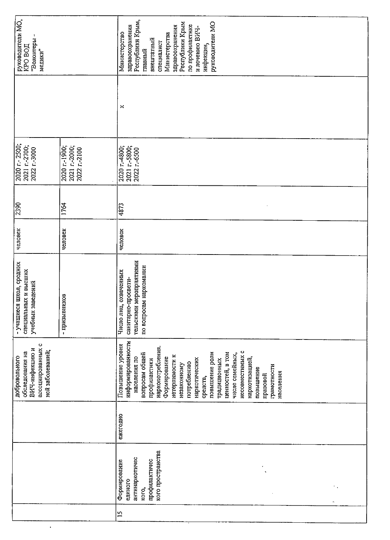| руководители МО,<br>"Волонтеры -<br><b>KGO BOIL</b><br>медики"                                       |                                                | Республики Крым,<br>руководители МО<br>Республики Крым<br>по профилактике<br>здравоохранения<br>здравоохранения<br>и лечению ВИЧ-<br>Министерство<br>Министерства<br>внештатный<br>специалист<br>инфекции,<br>главный                                                                                                                                                        |
|------------------------------------------------------------------------------------------------------|------------------------------------------------|------------------------------------------------------------------------------------------------------------------------------------------------------------------------------------------------------------------------------------------------------------------------------------------------------------------------------------------------------------------------------|
|                                                                                                      |                                                | ×                                                                                                                                                                                                                                                                                                                                                                            |
| 2020 r. - 2500,<br>2021 r.-2700;<br>2022 r-3000                                                      | 2021 r.-2000;<br>2020 r.-1900;<br>2022 r.-2100 | 2021 r.-5800;<br>2022 r.-6500<br>2020 r.4800;                                                                                                                                                                                                                                                                                                                                |
| $\frac{1}{2390}$                                                                                     | 1764                                           | 4873                                                                                                                                                                                                                                                                                                                                                                         |
| человек                                                                                              | человек                                        | человек                                                                                                                                                                                                                                                                                                                                                                      |
| - учащиеся школ, средних<br>специальных и высших<br>учебных заведений                                | - призывников                                  | тельскими мероприятиями<br>по вопросам наркомании<br>Число лиц, охваченных<br>санитарно-просвети-                                                                                                                                                                                                                                                                            |
| $\circ$<br>ассоциированных<br>ВИЧ-инфекцию и<br>ней заболеваний;<br>обследования на<br>добровольного |                                                | информированности<br>Повышение уровня<br>наркопотребления.<br>несовместимых с<br>повышение роли<br>ценностей, в том<br>вопросам общей<br>числе семейных,<br>нетерпимости к<br>населения по<br>Формирование<br>наркотизацией,<br>наркотических<br>традиционных<br>профилактики<br>потреблению<br>незаконному<br>грамотности<br>повышение<br>населения<br>правовой<br>средств, |
|                                                                                                      |                                                | ежегодно                                                                                                                                                                                                                                                                                                                                                                     |
|                                                                                                      |                                                | кого пространства<br>антинаркотичес<br>профилактичес<br>Формирование<br>единого<br><b>KOTO,</b>                                                                                                                                                                                                                                                                              |
|                                                                                                      |                                                | $\overline{15}$                                                                                                                                                                                                                                                                                                                                                              |

 $\ddot{\phantom{0}}$